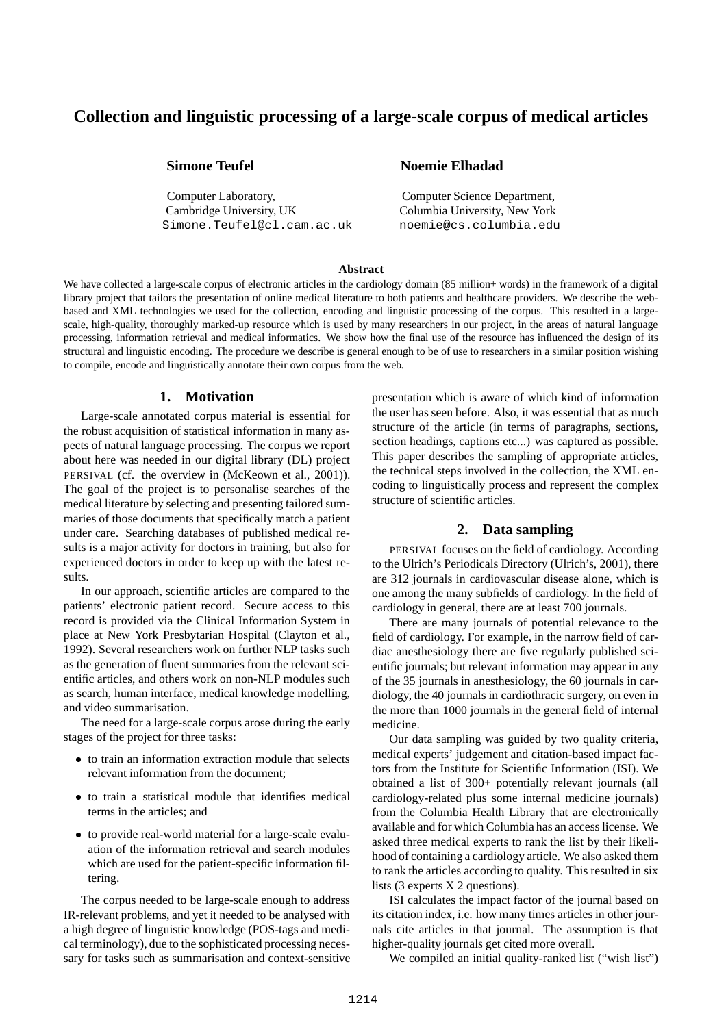# **Collection and linguistic processing of a large-scale corpus of medical articles**

Computer Laboratory, Computer Science Department, Cambridge University, UK Columbia University, New York Simone.Teufel@cl.cam.ac.uk noemie@cs.columbia.edu

## **Simone Teufel Noemie Elhadad**

#### **Abstract**

We have collected a large-scale corpus of electronic articles in the cardiology domain (85 million+ words) in the framework of a digital library project that tailors the presentation of online medical literature to both patients and healthcare providers. We describe the webbased and XML technologies we used for the collection, encoding and linguistic processing of the corpus. This resulted in a largescale, high-quality, thoroughly marked-up resource which is used by many researchers in our project, in the areas of natural language processing, information retrieval and medical informatics. We show how the final use of the resource has influenced the design of its structural and linguistic encoding. The procedure we describe is general enough to be of use to researchers in a similar position wishing to compile, encode and linguistically annotate their own corpus from the web.

### **1. Motivation**

Large-scale annotated corpus material is essential for the robust acquisition of statistical information in many aspects of natural language processing. The corpus we report about here was needed in our digital library (DL) project PERSIVAL (cf. the overview in (McKeown et al., 2001)). The goal of the project is to personalise searches of the medical literature by selecting and presenting tailored summaries of those documents that specifically match a patient under care. Searching databases of published medical results is a major activity for doctors in training, but also for experienced doctors in order to keep up with the latest results.

In our approach, scientific articles are compared to the patients' electronic patient record. Secure access to this record is provided via the Clinical Information System in place at New York Presbytarian Hospital (Clayton et al., 1992). Several researchers work on further NLP tasks such as the generation of fluent summaries from the relevant scientific articles, and others work on non-NLP modules such as search, human interface, medical knowledge modelling, and video summarisation.

The need for a large-scale corpus arose during the early stages of the project for three tasks:

- to train an information extraction module that selects relevant information from the document;
- to train a statistical module that identifies medical terms in the articles; and
- to provide real-world material for a large-scale evaluation of the information retrieval and search modules which are used for the patient-specific information filtering.

The corpus needed to be large-scale enough to address IR-relevant problems, and yet it needed to be analysed with a high degree of linguistic knowledge (POS-tags and medical terminology), due to the sophisticated processing necessary for tasks such as summarisation and context-sensitive presentation which is aware of which kind of information the user has seen before. Also, it was essential that as much structure of the article (in terms of paragraphs, sections, section headings, captions etc...) was captured as possible. This paper describes the sampling of appropriate articles, the technical steps involved in the collection, the XML encoding to linguistically process and represent the complex structure of scientific articles.

## **2. Data sampling**

PERSIVAL focuses on the field of cardiology. According to the Ulrich's Periodicals Directory (Ulrich's, 2001), there are 312 journals in cardiovascular disease alone, which is one among the many subfields of cardiology. In the field of cardiology in general, there are at least 700 journals.

There are many journals of potential relevance to the field of cardiology. For example, in the narrow field of cardiac anesthesiology there are five regularly published scientific journals; but relevant information may appear in any of the 35 journals in anesthesiology, the 60 journals in cardiology, the 40 journals in cardiothracic surgery, on even in the more than 1000 journals in the general field of internal medicine.

Our data sampling was guided by two quality criteria, medical experts' judgement and citation-based impact factors from the Institute for Scientific Information (ISI). We obtained a list of 300+ potentially relevant journals (all cardiology-related plus some internal medicine journals) from the Columbia Health Library that are electronically available and for which Columbia has an access license. We asked three medical experts to rank the list by their likelihood of containing a cardiology article. We also asked them to rank the articles according to quality. This resulted in six lists (3 experts X 2 questions).

ISI calculates the impact factor of the journal based on its citation index, i.e. how many times articles in other journals cite articles in that journal. The assumption is that higher-quality journals get cited more overall.

We compiled an initial quality-ranked list ("wish list")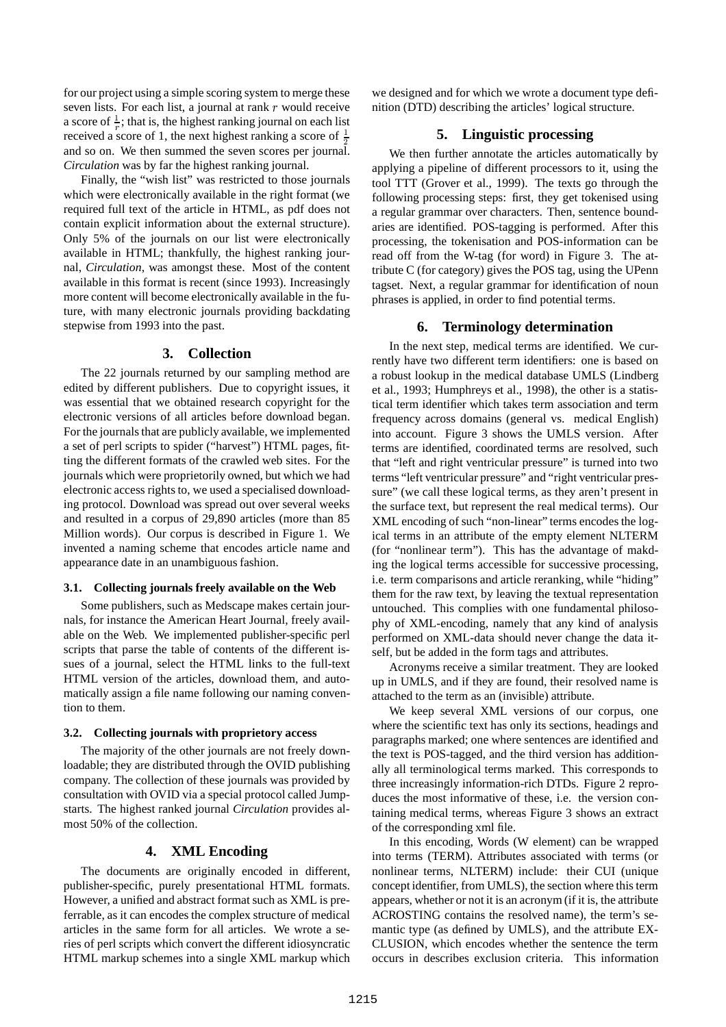for our project using a simple scoring system to merge these seven lists. For each list, a journal at rank  $r$  would receive a score of  $\frac{1}{r}$ ; that is, the highest ranking journal on each list received a score of 1, the next highest ranking a score of  $\frac{1}{2}$ and so on. We then summed the seven scores per journal. *Circulation* was by far the highest ranking journal.

Finally, the "wish list" was restricted to those journals which were electronically available in the right format (we required full text of the article in HTML, as pdf does not contain explicit information about the external structure). Only 5% of the journals on our list were electronically available in HTML; thankfully, the highest ranking journal, *Circulation*, was amongst these. Most of the content available in this format is recent (since 1993). Increasingly more content will become electronically available in the future, with many electronic journals providing backdating stepwise from 1993 into the past.

### **3. Collection**

The 22 journals returned by our sampling method are edited by different publishers. Due to copyright issues, it was essential that we obtained research copyright for the electronic versions of all articles before download began. For the journals that are publicly available, we implemented a set of perl scripts to spider ("harvest") HTML pages, fitting the different formats of the crawled web sites. For the journals which were proprietorily owned, but which we had electronic access rights to, we used a specialised downloading protocol. Download was spread out over several weeks and resulted in a corpus of 29,890 articles (more than 85 Million words). Our corpus is described in Figure 1. We invented a naming scheme that encodes article name and appearance date in an unambiguous fashion.

#### **3.1. Collecting journals freely available on the Web**

Some publishers, such as Medscape makes certain journals, for instance the American Heart Journal, freely available on the Web. We implemented publisher-specific perl scripts that parse the table of contents of the different issues of a journal, select the HTML links to the full-text HTML version of the articles, download them, and automatically assign a file name following our naming convention to them.

#### **3.2. Collecting journals with proprietory access**

The majority of the other journals are not freely downloadable; they are distributed through the OVID publishing company. The collection of these journals was provided by consultation with OVID via a special protocol called Jumpstarts. The highest ranked journal *Circulation* provides almost 50% of the collection.

### **4. XML Encoding**

The documents are originally encoded in different, publisher-specific, purely presentational HTML formats. However, a unified and abstract format such as XML is preferrable, as it can encodes the complex structure of medical articles in the same form for all articles. We wrote a series of perl scripts which convert the different idiosyncratic HTML markup schemes into a single XML markup which we designed and for which we wrote a document type definition (DTD) describing the articles' logical structure.

### **5. Linguistic processing**

We then further annotate the articles automatically by applying a pipeline of different processors to it, using the tool TTT (Grover et al., 1999). The texts go through the following processing steps: first, they get tokenised using a regular grammar over characters. Then, sentence boundaries are identified. POS-tagging is performed. After this processing, the tokenisation and POS-information can be read off from the W-tag (for word) in Figure 3. The attribute C (for category) gives the POS tag, using the UPenn tagset. Next, a regular grammar for identification of noun phrases is applied, in order to find potential terms.

## **6. Terminology determination**

In the next step, medical terms are identified. We currently have two different term identifiers: one is based on a robust lookup in the medical database UMLS (Lindberg et al., 1993; Humphreys et al., 1998), the other is a statistical term identifier which takes term association and term frequency across domains (general vs. medical English) into account. Figure 3 shows the UMLS version. After terms are identified, coordinated terms are resolved, such that "left and right ventricular pressure" is turned into two terms "left ventricular pressure" and "right ventricular pressure" (we call these logical terms, as they aren't present in the surface text, but represent the real medical terms). Our XML encoding of such "non-linear" terms encodes the logical terms in an attribute of the empty element NLTERM (for "nonlinear term"). This has the advantage of makding the logical terms accessible for successive processing, i.e. term comparisons and article reranking, while "hiding" them for the raw text, by leaving the textual representation untouched. This complies with one fundamental philosophy of XML-encoding, namely that any kind of analysis performed on XML-data should never change the data itself, but be added in the form tags and attributes.

Acronyms receive a similar treatment. They are looked up in UMLS, and if they are found, their resolved name is attached to the term as an (invisible) attribute.

We keep several XML versions of our corpus, one where the scientific text has only its sections, headings and paragraphs marked; one where sentences are identified and the text is POS-tagged, and the third version has additionally all terminological terms marked. This corresponds to three increasingly information-rich DTDs. Figure 2 reproduces the most informative of these, i.e. the version containing medical terms, whereas Figure 3 shows an extract of the corresponding xml file.

In this encoding, Words (W element) can be wrapped into terms (TERM). Attributes associated with terms (or nonlinear terms, NLTERM) include: their CUI (unique concept identifier, from UMLS), the section where this term appears, whether or not it is an acronym (if it is, the attribute ACROSTING contains the resolved name), the term's semantic type (as defined by UMLS), and the attribute EX-CLUSION, which encodes whether the sentence the term occurs in describes exclusion criteria. This information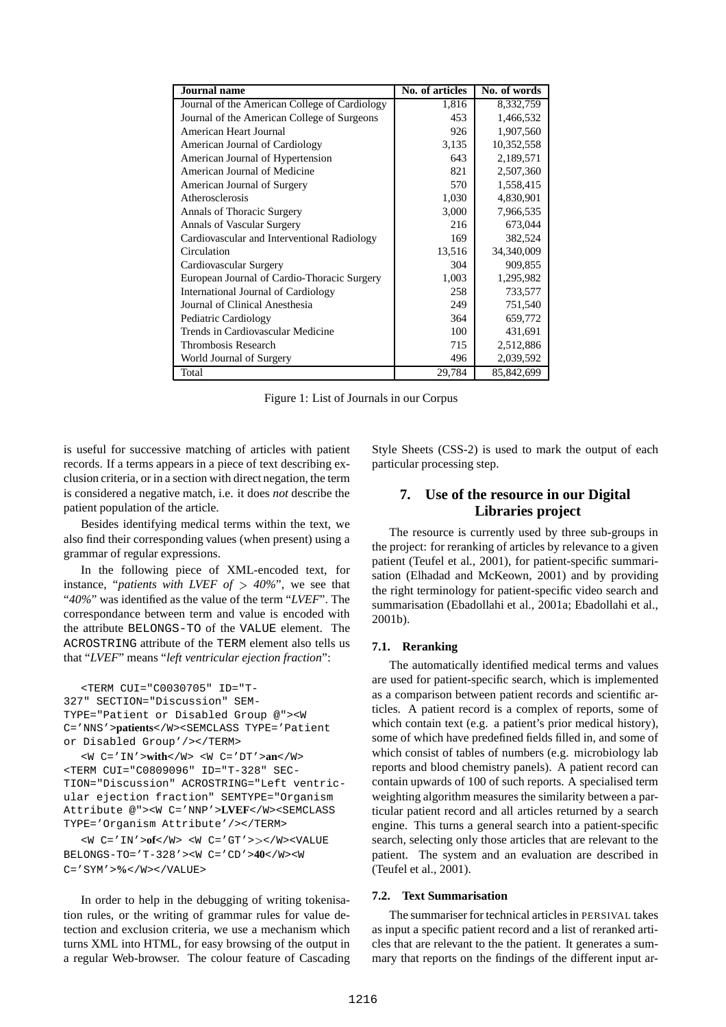| <b>Journal</b> name                           | No. of articles | No. of words |
|-----------------------------------------------|-----------------|--------------|
| Journal of the American College of Cardiology | 1,816           | 8,332,759    |
| Journal of the American College of Surgeons   | 453             | 1,466,532    |
| American Heart Journal                        | 926             | 1,907,560    |
| American Journal of Cardiology                | 3,135           | 10,352,558   |
| American Journal of Hypertension              | 643             | 2,189,571    |
| American Journal of Medicine                  | 821             | 2,507,360    |
| American Journal of Surgery                   | 570             | 1,558,415    |
| Atherosclerosis                               | 1,030           | 4,830,901    |
| Annals of Thoracic Surgery                    | 3,000           | 7,966,535    |
| <b>Annals of Vascular Surgery</b>             | 216             | 673,044      |
| Cardiovascular and Interventional Radiology   | 169             | 382,524      |
| Circulation                                   | 13,516          | 34,340,009   |
| Cardiovascular Surgery                        | 304             | 909,855      |
| European Journal of Cardio-Thoracic Surgery   | 1,003           | 1,295,982    |
| International Journal of Cardiology           | 258             | 733,577      |
| Journal of Clinical Anesthesia                | 249             | 751,540      |
| Pediatric Cardiology                          | 364             | 659,772      |
| Trends in Cardiovascular Medicine             | 100             | 431,691      |
| Thrombosis Research                           | 715             | 2,512,886    |
| World Journal of Surgery                      | 496             | 2,039,592    |
| Total                                         | 29,784          | 85,842,699   |

Figure 1: List of Journals in our Corpus

is useful for successive matching of articles with patient records. If a terms appears in a piece of text describing exclusion criteria, or in a section with direct negation, the term is considered a negative match, i.e. it does *not* describe the patient population of the article.

Besides identifying medical terms within the text, we also find their corresponding values (when present) using a grammar of regular expressions.

In the following piece of XML-encoded text, for instance, "*patients* with *LVEF* of  $>$  40%", we see that "*40%*" was identified as the value of the term "*LVEF*". The correspondance between term and value is encoded with the attribute BELONGS-TO of the VALUE element. The ACROSTRING attribute of the TERM element also tells us that "*LVEF*" means "*left ventricular ejection fraction*":

<TERM CUI="C0030705" ID="T-327" SECTION="Discussion" SEM-TYPE="Patient or Disabled Group @"><W C='NNS'>**patients**</W><SEMCLASS TYPE='Patient or Disabled Group'/></TERM>

<W C='IN'>**with**</W> <W C='DT'>**an**</W> <TERM CUI="C0809096" ID="T-328" SEC-TION="Discussion" ACROSTRING="Left ventricular ejection fraction" SEMTYPE="Organism Attribute @"><W C='NNP'>**LVEF**</W><SEMCLASS TYPE='Organism Attribute'/></TERM>

<W C='IN'>**of**</W> <W C='GT'></W><VALUE BELONGS-TO='T-328'><W C='CD'>**40**</W><W C='SYM'>**%**</W></VALUE>

In order to help in the debugging of writing tokenisation rules, or the writing of grammar rules for value detection and exclusion criteria, we use a mechanism which turns XML into HTML, for easy browsing of the output in a regular Web-browser. The colour feature of Cascading Style Sheets (CSS-2) is used to mark the output of each particular processing step.

# **7. Use of the resource in our Digital Libraries project**

The resource is currently used by three sub-groups in the project: for reranking of articles by relevance to a given patient (Teufel et al., 2001), for patient-specific summarisation (Elhadad and McKeown, 2001) and by providing the right terminology for patient-specific video search and summarisation (Ebadollahi et al., 2001a; Ebadollahi et al., 2001b).

#### **7.1. Reranking**

The automatically identified medical terms and values are used for patient-specific search, which is implemented as a comparison between patient records and scientific articles. A patient record is a complex of reports, some of which contain text (e.g. a patient's prior medical history), some of which have predefined fields filled in, and some of which consist of tables of numbers (e.g. microbiology lab reports and blood chemistry panels). A patient record can contain upwards of 100 of such reports. A specialised term weighting algorithm measures the similarity between a particular patient record and all articles returned by a search engine. This turns a general search into a patient-specific search, selecting only those articles that are relevant to the patient. The system and an evaluation are described in (Teufel et al., 2001).

#### **7.2. Text Summarisation**

The summariser for technical articles in PERSIVAL takes as input a specific patient record and a list of reranked articles that are relevant to the the patient. It generates a summary that reports on the findings of the different input ar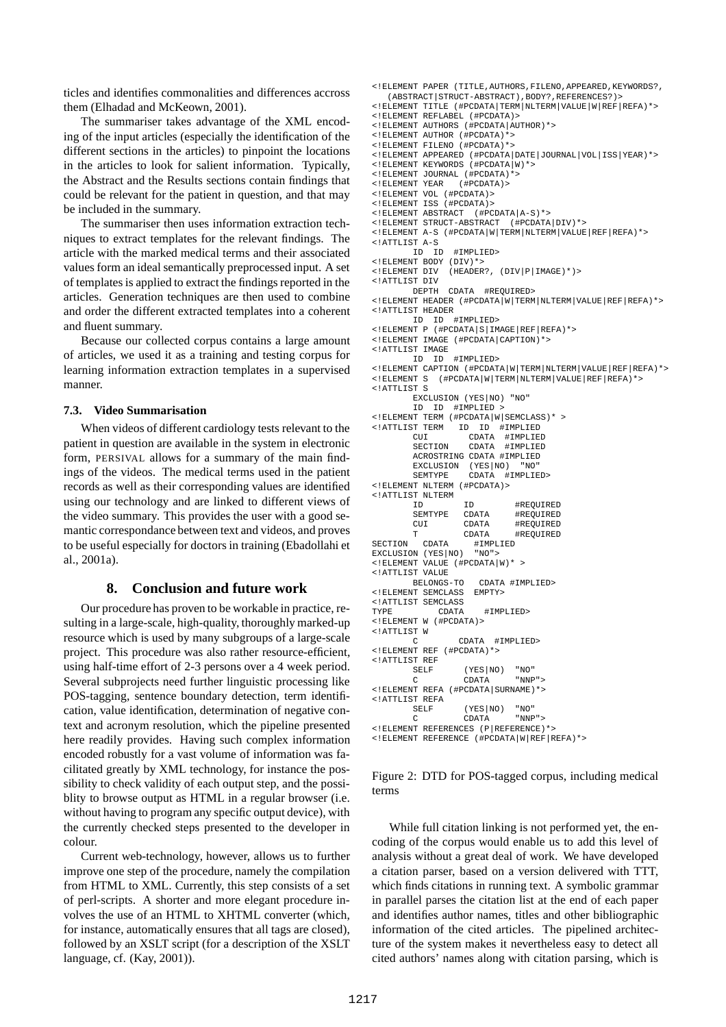ticles and identifies commonalities and differences accross them (Elhadad and McKeown, 2001).

The summariser takes advantage of the XML encoding of the input articles (especially the identification of the different sections in the articles) to pinpoint the locations in the articles to look for salient information. Typically, the Abstract and the Results sections contain findings that could be relevant for the patient in question, and that may be included in the summary.

The summariser then uses information extraction techniques to extract templates for the relevant findings. The article with the marked medical terms and their associated values form an ideal semantically preprocessed input. A set of templates is applied to extract the findingsreported in the articles. Generation techniques are then used to combine and order the different extracted templates into a coherent and fluent summary.

Because our collected corpus contains a large amount of articles, we used it as a training and testing corpus for learning information extraction templates in a supervised manner.

#### **7.3. Video Summarisation**

When videos of different cardiology tests relevant to the patient in question are available in the system in electronic form, PERSIVAL allows for a summary of the main findings of the videos. The medical terms used in the patient records as well as their corresponding values are identified using our technology and are linked to different views of the video summary. This provides the user with a good semantic correspondance between text and videos, and proves to be useful especially for doctors in training (Ebadollahi et al., 2001a).

### **8. Conclusion and future work**

Our procedure has proven to be workable in practice, resulting in a large-scale, high-quality, thoroughly marked-up resource which is used by many subgroups of a large-scale project. This procedure was also rather resource-efficient, using half-time effort of 2-3 persons over a 4 week period. Several subprojects need further linguistic processing like POS-tagging, sentence boundary detection, term identification, value identification, determination of negative context and acronym resolution, which the pipeline presented here readily provides. Having such complex information encoded robustly for a vast volume of information was facilitated greatly by XML technology, for instance the possibility to check validity of each output step, and the possiblity to browse output as HTML in a regular browser (i.e. without having to program any specific output device), with the currently checked steps presented to the developer in colour.

Current web-technology, however, allows us to further improve one step of the procedure, namely the compilation from HTML to XML. Currently, this step consists of a set of perl-scripts. A shorter and more elegant procedure involves the use of an HTML to XHTML converter (which, for instance, automatically ensures that all tags are closed), followed by an XSLT script (for a description of the XSLT language, cf. (Kay, 2001)).

```
<!ELEMENT PAPER (TITLE,AUTHORS,FILENO,APPEARED,KEYWORDS?,
   (ABSTRACT|STRUCT-ABSTRACT),BODY?,REFERENCES?)>
<!ELEMENT TITLE (#PCDATA|TERM|NLTERM|VALUE|W|REF|REFA)*>
<!ELEMENT REFLABEL (#PCDATA)>
<!ELEMENT AUTHORS (#PCDATA|AUTHOR)*>
<!ELEMENT AUTHOR (#PCDATA)*>
<!ELEMENT FILENO (#PCDATA)*>
<!ELEMENT APPEARED (#PCDATA|DATE|JOURNAL|VOL|ISS|YEAR)*>
<!ELEMENT KEYWORDS (#PCDATA|W)*>
<!ELEMENT JOURNAL (#PCDATA)*>
<!ELEMENT YEAR (#PCDATA)>
<!ELEMENT VOL (#PCDATA)>
<!ELEMENT ISS (#PCDATA)>
<!ELEMENT ABSTRACT (#PCDATA|A-S)*>
<!ELEMENT STRUCT-ABSTRACT (#PCDATA|DIV)*>
<!ELEMENT A-S (#PCDATA|W|TERM|NLTERM|VALUE|REF|REFA)*>
<!ATTLIST A-S
                  #IMPLIED>
% <!ELEMENT BODY (DIV)*><br><!ELEMENT DIV (HEADER
                 (HEADER?, (DIV|P|IMAGE)*)>
<!ATTLIST DIV
         DEPTH CDATA #REQUIRED>
<!ELEMENT HEADER (#PCDATA|W|TERM|NLTERM|VALUE|REF|REFA)*>
<!ATTLIST HEADER
        ID ID #IMPLIED>
<!ELEMENT P (#PCDATA|S|IMAGE|REF|REFA)*>
<!ELEMENT IMAGE (#PCDATA|CAPTION)*>
<!ATTLIST IMAGE
                  #IMPLIED>
<!ELEMENT CAPTION (#PCDATA|W|TERM|NLTERM|VALUE|REF|REFA)*>
<!ELEMENT S (#PCDATA|W|TERM|NLTERM|VALUE|REF|REFA)*>
<!ATTLIST S
         EXCLUSION (YES|NO) "NO"
         ID ID #IMPLIED >
<!ELEMENT TERM (#PCDATA|W|SEMCLASS)* >
<!ATTLIST TERM ID ID #IMPLIED
         CUI CDATA #IMPLIED<br>SECTION CDATA #IMPLIED
                     CDATA #IMPLIED
         ACROSTRING CDATA #IMPLIED<br>EXCLUSION (YES<sup>(NO)</sup> "NO"
         EXCLUSION (YES<sup>|</sup>NO) "NO'<br>SEMTYPE CDATA #IMPLII
                   CDATA #IMPLIED><br>(#PCDATA)>
\leq! ELEMENT NLTERM
<!ATTLIST NLTERM
         ID 1D #REQUIRED<br>SEMTYPE CDATA #REOUIRED
         SEMTYPE CDATA #REQUIRED<br>CUI CDATA #REQUIRED
         CUI CDATA #REQUIRED<br>T CDATA #REQUIRED
          CDATA #REQUIRED<br>CDATA #IMPLIED
SECTION CDATA #IMPLIED<br>EXCLUSION (YES NO) "NO">
EXCLUSION (YES NO)
<!ELEMENT VALUE (#PCDATA|W)* >
<!ATTLIST VALUE
                      CDATA #IMPLIED><br>EMPTY>
<! ELEMENT SEMCLASS
<!ATTLIST SEMCLASS
TYPE CDATA #IMPLIED>
<!ELEMENT W (#PCDATA)>
<!ATTLIST W
         C CDATA #IMPLIED>
<!ELEMENT REF (#PCDATA)*>
<!ATTLIST REF
         SELF (YES<sup>|</sup>NO) "NO"<br>C CDATA "NNP">
                    CDATA
<!ELEMENT REFA (#PCDATA|SURNAME)*>
<!ATTLIST REFA
         SELF (YES<sup>|</sup>NO) "NO"<br>C CDATA "NNF
                                "NNP">
<!ELEMENT REFERENCES (P|REFERENCE)*>
<!ELEMENT REFERENCE (#PCDATA|W|REF|REFA)*>
```
Figure 2: DTD for POS-tagged corpus, including medical terms

While full citation linking is not performed yet, the encoding of the corpus would enable us to add this level of analysis without a great deal of work. We have developed a citation parser, based on a version delivered with TTT, which finds citations in running text. A symbolic grammar in parallel parses the citation list at the end of each paper and identifies author names, titles and other bibliographic information of the cited articles. The pipelined architecture of the system makes it nevertheless easy to detect all cited authors' names along with citation parsing, which is